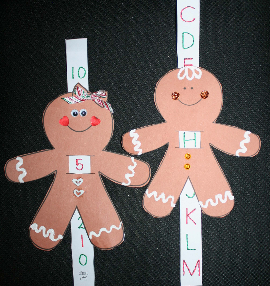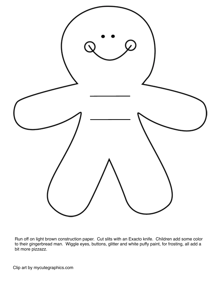

Run off on light brown construction paper. Cut slits with an Exacto knife. Children add some color to their gingerbread man. Wiggle eyes, buttons, glitter and white puffy paint, for frosting, all add a bit more pizzazz.

Clip art by mycutegraphics.com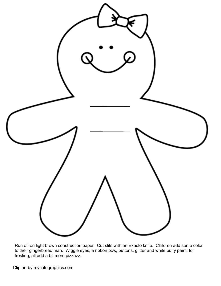

Run off on light brown construction paper. Cut slits with an Exacto knife. Children add some color to their gingerbread man. Wiggle eyes, a ribbon bow, buttons, glitter and white puffy paint, for frosting, all add a bit more pizzazz.

Clip art by mycutegraphics.com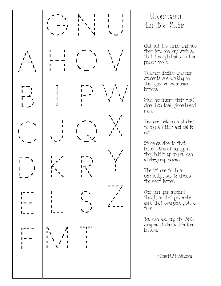

### Uppercase Letter Slider

Cut out the strips and glue them into one long strip so that the alphabet is in the proper order.

Teacher decides whether students are working on the upper or lowercase letters.

Students insert their ABC slider into their gingerbread man..

Teacher calls on a student to spy a letter and call it out.

Students slide to that letter. When they spy it they hold it up so you can whole-group assess.

The 1st one to do so correctly, gets to choose the next letter.

One turn per student though, so that you make sure that everyone gets a turn.

You can also sing the ABC song as students slide their letters.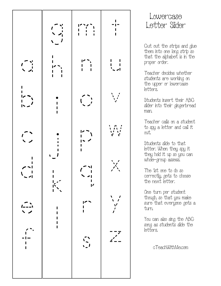

#### Lowercase Letter Slider

Cut out the strips and glue them into one long strip so that the alphabet is in the proper order.

Teacher decides whether students are working on the upper or lowercase letters.

Students insert their ABC slider into their gingerbread man.

Teacher calls on a student to spy a letter and call it out.

Students slide to that letter. When they spy it they hold it up so you can whole-group assess.

The 1st one to do so correctly, gets to choose the next letter.

One turn per student though, so that you make sure that everyone gets a turn.

You can also sing the ABC song as students slide the letters.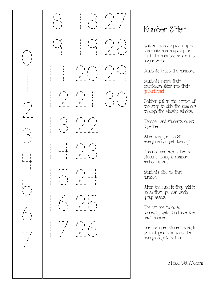

## Number Slider

Cut out the strips and glue them into one long strip so that the numbers are in the proper order.

Students trace the numbers.

Students insert their countdown slider into their gingerbread.

Children pull on the bottom of the strip to slide the numbers through the viewing window.

Teacher and students count together.

When they get to 30 everyone can yell "Hooray!"

Teacher can also call on a student to spy a number and call it out.

Students slide to that number.

When they spy it they hold it up so that you can wholegroup assess.

The 1st one to do so correctly, gets to choose the next number.

One turn per student though, so that you make sure that everyone gets a turn.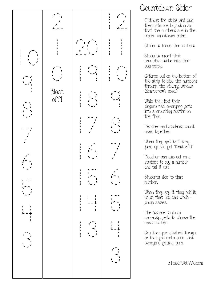

# Countdown Slider

Cut out the strips and glue them into one long strip so that the numbers are in the proper countdown order.

Students trace the numbers.

Students insert their countdown slider into their scarecrow.

Children pull on the bottom of the strip to slide the numbers through the viewing window. (Scarecrow's nose.)

While they hold their gingerbread, everyone gets into a crouching position on the floor,

Teacher and students count down together.

When they get to 0 they jump up and yell "Blast off!"

Teacher can also call on a student to spy a number and call it out.

Students slide to that number.

When they spy it they hold it up so that you can wholegroup assess.

The 1st one to do so correctly, gets to choose the next number.

One turn per student though, so that you make sure that everyone gets a turn.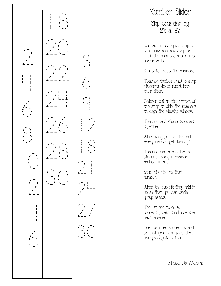

#### Number Slider Skip counting by 2's & 3's

Cut out the strips and glue them into one long strip so that the numbers are in the proper order.

Students trace the numbers.

Teacher decides what  $\#$  strip students should insert into their slider.

Children pull on the bottom of the strip to slide the numbers through the viewing window.

Teacher and students count together.

When they get to the end everyone can yell "Hooray!"

Teacher can also call on a student to spy a number and call it out.

Students slide to that number.

When they spy it they hold it up so that you can wholegroup assess.

The 1st one to do so correctly, gets to choose the next number.

One turn per student though, so that you make sure that everyone gets a turn.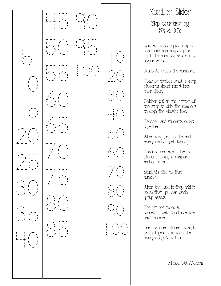

## Number Slider Skip counting by 5's & 10's

Cut out the strips and glue them into one long strip so that the numbers are in the proper order.

Students trace the numbers.

Teacher decides what  $\#$  strip students should insert into their slider.

Children pull on the bottom of the strip to slide the numbers through the viewing hole.

Teacher and students count together.

When they get to the end everyone can yell "Hooray!"

Teacher can also call on a student to spy a number and call it out.

Students slide to that number.

When they spy it they hold it up so that you can wholegroup assess.

The 1st one to do so correctly, gets to choose the next number.

One turn per student though, so that you make sure that everyone gets a turn.